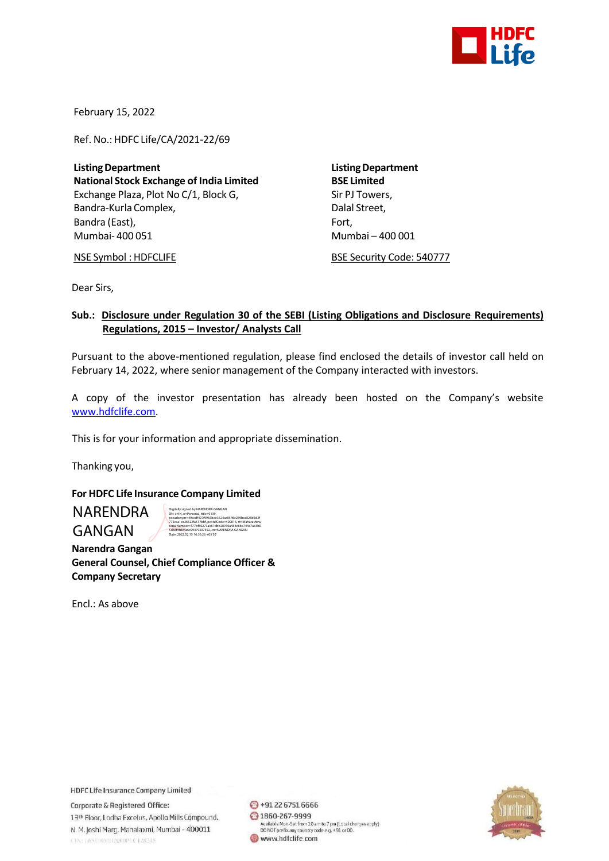

February 15, 2022

Ref. No.: HDFC Life/CA/2021-22/69

**ListingDepartment ListingDepartment National Stock Exchange of India Limited BSE Limited** Exchange Plaza, Plot No C/1, Block G, Sir PJ Towers, Bandra-Kurla Complex, and the complex of the Dalal Street, Bandra (East), Fort, Fort, Fort, Fort, Fort, Fort, Fort, Fort, Fort, Fort, Fort, Fort, Fort, Fort, Fort, Fort, Mumbai- 400 051 Mumbai – 400 001

NSE Symbol : HDFCLIFE BSE Security Code: 540777

Dear Sirs,

## **Sub.: Disclosure under Regulation 30 of the SEBI (Listing Obligations and Disclosure Requirements) Regulations, 2015 – Investor/ Analysts Call**

Pursuant to the above-mentioned regulation, please find enclosed the details of investor call held on February 14, 2022, where senior management of the Company interacted with investors.

A copy of the investor presentation has already been hosted on the Company's website [www.hdfclife.com.](http://www.hdfclife.com/)

This is for your information and appropriate dissemination.

Thanking you,

## **For HDFC Life Insurance Company Limited**

NARENDRA GANGAN

Digitally signed by NARENDRA GANGAN DN: c=IN, o=Personal, title=9139, pseudonym=49cedf407f9963bee3624ac0546c289bca826b5d2f 773caa1ec26522fa517bbf, postalCode=400016, st=Maharashtra, serialNumber=477bf60273ae81dbb28910a48bc6ba744a7ae3b0 5d66f4fd94a6c99479307592, cn=NARENDRA GANGAN

 **Narendra Gangan General Counsel, Chief Compliance Officer & Company Secretary**

Date: 2022.02.15 16:36:26 +05'30'

Encl.: As above

**HDFC Life Insurance Company Limited** 

Corporate & Registered Office: 13th Floor, Lodha Excelus, Apollo Mills Compound, N. M. Joshi Marg, Mahalaxmi, Mumbai - 400011 CINTERSUMATIZODOPLCT28245

 $\bigodot$  +91 22 6751 6666 ◎ 1860-267-9999 Available Mon-Sat from 10 am to 7 pm (Local charges apply)<br>DO NOT prefix any country code e.g. +91 or 00. www.hdfclife.com